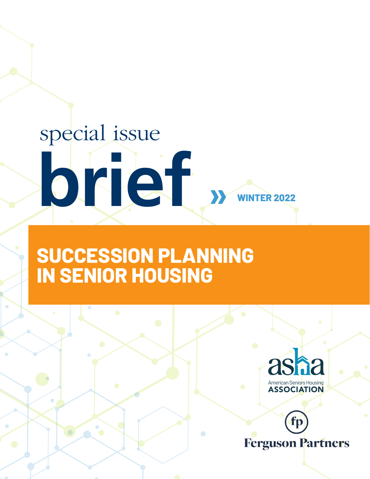# special issue **brief » WINTER 2022**

## **SUCCESSION PLANNING IN SENIOR HOUSING**

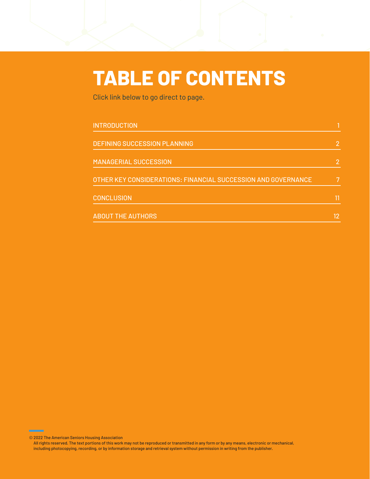# <span id="page-1-0"></span>**TABLE OF CONTENTS**

Click link below to go direct to page.

| <b>INTRODUCTION</b>                                           |                |
|---------------------------------------------------------------|----------------|
| DEFINING SUCCESSION PLANNING                                  | $\overline{2}$ |
| <b>MANAGERIAL SUCCESSION</b>                                  | $\overline{2}$ |
| OTHER KEY CONSIDERATIONS: FINANCIAL SUCCESSION AND GOVERNANCE | 7              |
| <b>CONCLUSION</b>                                             | 11             |
| <b>ABOUT THE AUTHORS</b>                                      | 12             |

© 2022 The American Seniors Housing Association

All rights reserved. The text portions of this work may not be reproduced or transmitted in any form or by any means, electronic or mechanical, including photocopying, recording, or by information storage and retrieval system without permission in writing from the publisher.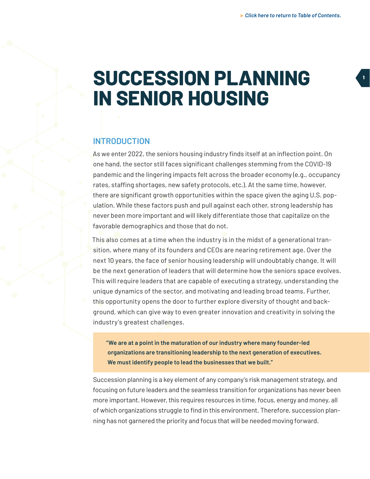1

### <span id="page-2-0"></span>**SUCCESSION PLANNING IN SENIOR HOUSING**

#### **INTRODUCTION**

As we enter 2022, the seniors housing industry finds itself at an inflection point. On one hand, the sector still faces significant challenges stemming from the COVID-19 pandemic and the lingering impacts felt across the broader economy (e.g., occupancy rates, staffing shortages, new safety protocols, etc.). At the same time, however, there are significant growth opportunities within the space given the aging U.S. population. While these factors push and pull against each other, strong leadership has never been more important and will likely differentiate those that capitalize on the favorable demographics and those that do not.

This also comes at a time when the industry is in the midst of a generational transition, where many of its founders and CEOs are nearing retirement age. Over the next 10 years, the face of senior housing leadership will undoubtably change. It will be the next generation of leaders that will determine how the seniors space evolves. This will require leaders that are capable of executing a strategy, understanding the unique dynamics of the sector, and motivating and leading broad teams. Further, this opportunity opens the door to further explore diversity of thought and background, which can give way to even greater innovation and creativity in solving the industry's greatest challenges.

**"We are at a point in the maturation of our industry where many founder-led organizations are transitioning leadership to the next generation of executives. We must identify people to lead the businesses that we built."**

Succession planning is a key element of any company's risk management strategy, and focusing on future leaders and the seamless transition for organizations has never been more important. However, this requires resources in time, focus, energy and money, all of which organizations struggle to find in this environment. Therefore, succession planning has not garnered the priority and focus that will be needed moving forward.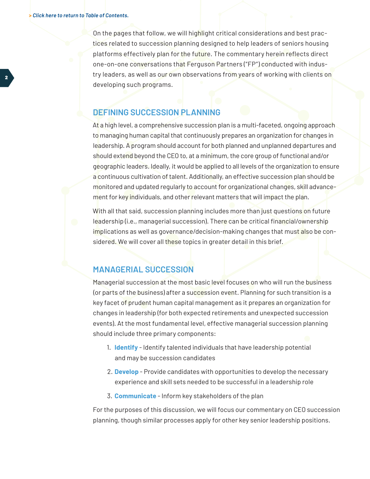<span id="page-3-0"></span>On the pages that follow, we will highlight critical considerations and best practices related to succession planning designed to help leaders of seniors housing platforms effectively plan for the future. The commentary herein reflects direct one-on-one conversations that Ferguson Partners ("FP") conducted with industry leaders, as well as our own observations from years of working with clients on developing such programs.

#### **DEFINING SUCCESSION PLANNING**

At a high level, a comprehensive succession plan is a multi-faceted, ongoing approach to managing human capital that continuously prepares an organization for changes in leadership. A program should account for both planned and unplanned departures and should extend beyond the CEO to, at a minimum, the core group of functional and/or geographic leaders. Ideally, it would be applied to all levels of the organization to ensure a continuous cultivation of talent. Additionally, an effective succession plan should be monitored and updated regularly to account for organizational changes, skill advancement for key individuals, and other relevant matters that will impact the plan.

With all that said, succession planning includes more than just questions on future leadership (i.e., managerial succession). There can be critical financial/ownership implications as well as governance/decision-making changes that must also be considered. We will cover all these topics in greater detail in this brief.

#### **MANAGERIAL SUCCESSION**

Managerial succession at the most basic level focuses on who will run the business (or parts of the business) after a succession event. Planning for such transition is a key facet of prudent human capital management as it prepares an organization for changes in leadership (for both expected retirements and unexpected succession events). At the most fundamental level, effective managerial succession planning should include three primary components:

- 1. **Identify** Identify talented individuals that have leadership potential and may be succession candidates
- 2. **Develop**  Provide candidates with opportunities to develop the necessary experience and skill sets needed to be successful in a leadership role
- 3. **Communicate** Inform key stakeholders of the plan

For the purposes of this discussion, we will focus our commentary on CEO succession planning, though similar processes apply for other key senior leadership positions.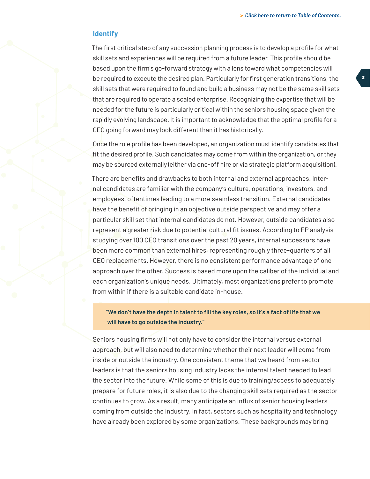#### **Identify**

The first critical step of any succession planning process is to develop a profile for what skill sets and experiences will be required from a future leader. This profile should be based upon the firm's go-forward strategy with a lens toward what competencies will be required to execute the desired plan. Particularly for first generation transitions, the skill sets that were required to found and build a business may not be the same skill sets that are required to operate a scaled enterprise. Recognizing the expertise that will be needed for the future is particularly critical within the seniors housing space given the rapidly evolving landscape. It is important to acknowledge that the optimal profile for a CEO going forward may look different than it has historically.

Once the role profile has been developed, an organization must identify candidates that fit the desired profile. Such candidates may come from within the organization, or they may be sourced externally (either via one-off hire or via strategic platform acquisition).

There are benefits and drawbacks to both internal and external approaches. Internal candidates are familiar with the company's culture, operations, investors, and employees, oftentimes leading to a more seamless transition. External candidates have the benefit of bringing in an objective outside perspective and may offer a particular skill set that internal candidates do not. However, outside candidates also represent a greater risk due to potential cultural fit issues. According to FP analysis studying over 100 CEO transitions over the past 20 years, internal successors have been more common than external hires, representing roughly three-quarters of all CEO replacements. However, there is no consistent performance advantage of one approach over the other. Success is based more upon the caliber of the individual and each organization's unique needs. Ultimately, most organizations prefer to promote from within if there is a suitable candidate in-house.

#### **"We don't have the depth in talent to fill the key roles, so it's a fact of life that we will have to go outside the industry."**

Seniors housing firms will not only have to consider the internal versus external approach, but will also need to determine whether their next leader will come from inside or outside the industry. One consistent theme that we heard from sector leaders is that the seniors housing industry lacks the internal talent needed to lead the sector into the future. While some of this is due to training/access to adequately prepare for future roles, it is also due to the changing skill sets required as the sector continues to grow. As a result, many anticipate an influx of senior housing leaders coming from outside the industry. In fact, sectors such as hospitality and technology have already been explored by some organizations. These backgrounds may bring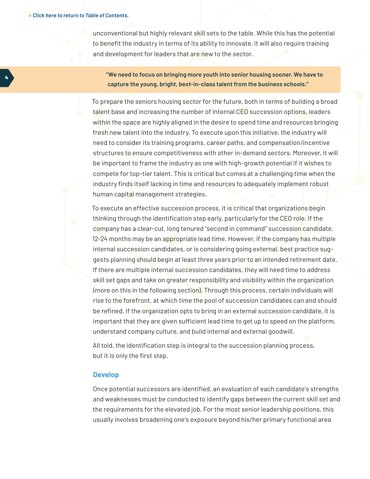unconventional but highly relevant skill sets to the table. While this has the potential to benefit the industry in terms of its ability to innovate, it will also require training and development for leaders that are new to the sector.

**"We need to focus on bringing more youth into senior housing sooner. We have to capture the young, bright, best-in-class talent from the business schools."**

To prepare the seniors housing sector for the future, both in terms of building a broad talent base and increasing the number of internal CEO succession options, leaders within the space are highly aligned in the desire to spend time and resources bringing fresh new talent into the industry. To execute upon this initiative, the industry will need to consider its training programs, career paths, and compensation/incentive structures to ensure competitiveness with other in-demand sectors. Moreover, it will be important to frame the industry as one with high-growth potential if it wishes to compete for top-tier talent. This is critical but comes at a challenging time when the industry finds itself lacking in time and resources to adequately implement robust human capital management strategies.

To execute an effective succession process, it is critical that organizations begin thinking through the identification step early, particularly for the CEO role. If the company has a clear-cut, long tenured "second in command" succession candidate, 12-24 months may be an appropriate lead time. However, if the company has multiple internal succession candidates, or is considering going external, best practice suggests planning should begin at least three years prior to an intended retirement date. If there are multiple internal succession candidates, they will need time to address skill set gaps and take on greater responsibility and visibility within the organization (more on this in the following section). Through this process, certain individuals will rise to the forefront, at which time the pool of succession candidates can and should be refined. If the organization opts to bring in an external succession candidate, it is important that they are given sufficient lead time to get up to speed on the platform, understand company culture, and build internal and external goodwill.

All told, the identification step is integral to the succession planning process, but it is only the first step.

#### **Develop**

Once potential successors are identified, an evaluation of each candidate's strengths and weaknesses must be conducted to identify gaps between the current skill set and the requirements for the elevated job. For the most senior leadership positions, this usually involves broadening one's exposure beyond his/her primary functional area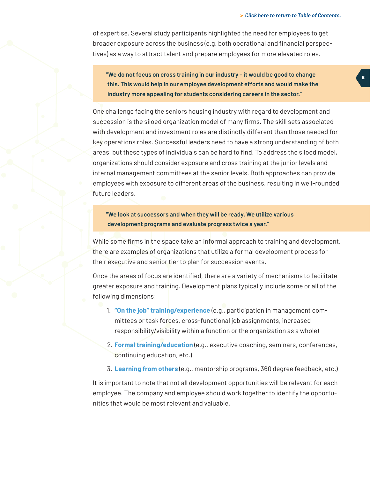of expertise. Several study participants highlighted the need for employees to get broader exposure across the business (e.g, both operational and financial perspectives) as a way to attract talent and prepare employees for more elevated roles.

**"We do not focus on cross training in our industry – it would be good to change this. This would help in our employee development efforts and would make the industry more appealing for students considering careers in the sector."**

One challenge facing the seniors housing industry with regard to development and succession is the siloed organization model of many firms. The skill sets associated with development and investment roles are distinctly different than those needed for key operations roles. Successful leaders need to have a strong understanding of both areas, but these types of individuals can be hard to find. To address the siloed model, organizations should consider exposure and cross training at the junior levels and internal management committees at the senior levels. Both approaches can provide employees with exposure to different areas of the business, resulting in well-rounded future leaders.

#### **"We look at successors and when they will be ready. We utilize various development programs and evaluate progress twice a year."**

While some firms in the space take an informal approach to training and development, there are examples of organizations that utilize a formal development process for their executive and senior tier to plan for succession events.

Once the areas of focus are identified, there are a variety of mechanisms to facilitate greater exposure and training. Development plans typically include some or all of the following dimensions:

- 1. **"On the job" training/experience** (e.g., participation in management committees or task forces, cross-functional job assignments, increased responsibility/visibility within a function or the organization as a whole)
- 2. **Formal training/education** (e.g., executive coaching, seminars, conferences, continuing education, etc.)
- 3. **Learning from others** (e.g., mentorship programs, 360 degree feedback, etc.)

It is important to note that not all development opportunities will be relevant for each employee. The company and employee should work together to identify the opportunities that would be most relevant and valuable.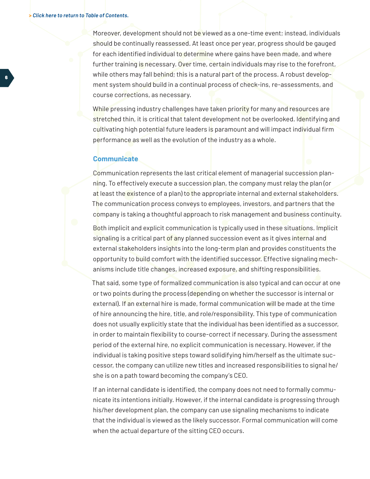Moreover, development should not be viewed as a one-time event; instead, individuals should be continually reassessed. At least once per year, progress should be gauged for each identified individual to determine where gains have been made, and where further training is necessary. Over time, certain individuals may rise to the forefront, while others may fall behind; this is a natural part of the process. A robust development system should build in a continual process of check-ins, re-assessments, and course corrections, as necessary.

While pressing industry challenges have taken priority for many and resources are stretched thin, it is critical that talent development not be overlooked. Identifying and cultivating high potential future leaders is paramount and will impact individual firm performance as well as the evolution of the industry as a whole.

#### **Communicate**

Communication represents the last critical element of managerial succession planning. To effectively execute a succession plan, the company must relay the plan (or at least the existence of a plan) to the appropriate internal and external stakeholders. The communication process conveys to employees, investors, and partners that the company is taking a thoughtful approach to risk management and business continuity.

Both implicit and explicit communication is typically used in these situations. Implicit signaling is a critical part of any planned succession event as it gives internal and external stakeholders insights into the long-term plan and provides constituents the opportunity to build comfort with the identified successor. Effective signaling mechanisms include title changes, increased exposure, and shifting responsibilities.

That said, some type of formalized communication is also typical and can occur at one or two points during the process (depending on whether the successor is internal or external). If an external hire is made, formal communication will be made at the time of hire announcing the hire, title, and role/responsibility. This type of communication does not usually explicitly state that the individual has been identified as a successor, in order to maintain flexibility to course-correct if necessary. During the assessment period of the external hire, no explicit communication is necessary. However, if the individual is taking positive steps toward solidifying him/herself as the ultimate successor, the company can utilize new titles and increased responsibilities to signal he/ she is on a path toward becoming the company's CEO.

If an internal candidate is identified, the company does not need to formally communicate its intentions initially. However, if the internal candidate is progressing through his/her development plan, the company can use signaling mechanisms to indicate that the individual is viewed as the likely successor. Formal communication will come when the actual departure of the sitting CEO occurs.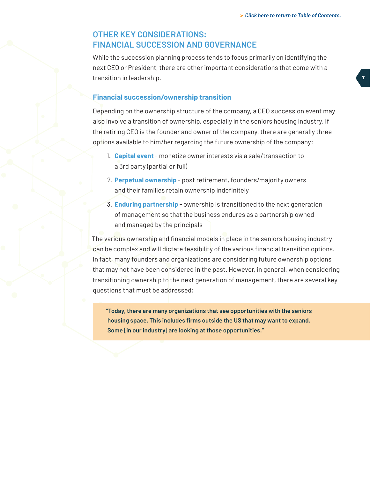#### <span id="page-8-0"></span>**OTHER KEY CONSIDERATIONS: FINANCIAL SUCCESSION AND GOVERNANCE**

While the succession planning process tends to focus primarily on identifying the next CEO or President, there are other important considerations that come with a transition in leadership.

#### **Financial succession/ownership transition**

Depending on the ownership structure of the company, a CEO succession event may also involve a transition of ownership, especially in the seniors housing industry. If the retiring CEO is the founder and owner of the company, there are generally three options available to him/her regarding the future ownership of the company:

- 1. **Capital event**  monetize owner interests via a sale/transaction to a 3rd party (partial or full)
- 2. **Perpetual ownership** post retirement, founders/majority owners and their families retain ownership indefinitely
- 3. **Enduring partnership** ownership is transitioned to the next generation of management so that the business endures as a partnership owned and managed by the principals

The various ownership and financial models in place in the seniors housing industry can be complex and will dictate feasibility of the various financial transition options. In fact, many founders and organizations are considering future ownership options that may not have been considered in the past. However, in general, when considering transitioning ownership to the next generation of management, there are several key questions that must be addressed:

**"Today, there are many organizations that see opportunities with the seniors housing space. This includes firms outside the US that may want to expand. Some [in our industry] are looking at those opportunities."**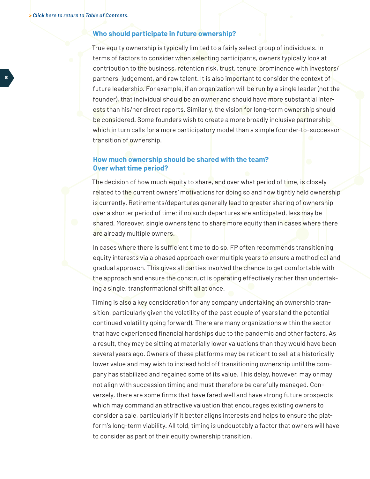#### **Who should participate in future ownership?**

True equity ownership is typically limited to a fairly select group of individuals. In terms of factors to consider when selecting participants, owners typically look at contribution to the business, retention risk, trust, tenure, prominence with investors/ partners, judgement, and raw talent. It is also important to consider the context of future leadership. For example, if an organization will be run by a single leader (not the founder), that individual should be an owner and should have more substantial interests than his/her direct reports. Similarly, the vision for long-term ownership should be considered. Some founders wish to create a more broadly inclusive partnership which in turn calls for a more participatory model than a simple founder-to-successor transition of ownership.

#### **How much ownership should be shared with the team? Over what time period?**

The decision of how much equity to share, and over what period of time, is closely related to the current owners' motivations for doing so and how tightly held ownership is currently. Retirements/departures generally lead to greater sharing of ownership over a shorter period of time; if no such departures are anticipated, less may be shared. Moreover, single owners tend to share more equity than in cases where there are already multiple owners.

In cases where there is sufficient time to do so, FP often recommends transitioning equity interests via a phased approach over multiple years to ensure a methodical and gradual approach. This gives all parties involved the chance to get comfortable with the approach and ensure the construct is operating effectively rather than undertaking a single, transformational shift all at once.

Timing is also a key consideration for any company undertaking an ownership transition, particularly given the volatility of the past couple of years (and the potential continued volatility going forward). There are many organizations within the sector that have experienced financial hardships due to the pandemic and other factors. As a result, they may be sitting at materially lower valuations than they would have been several years ago. Owners of these platforms may be reticent to sell at a historically lower value and may wish to instead hold off transitioning ownership until the company has stabilized and regained some of its value. This delay, however, may or may not align with succession timing and must therefore be carefully managed. Conversely, there are some firms that have fared well and have strong future prospects which may command an attractive valuation that encourages existing owners to consider a sale, particularly if it better aligns interests and helps to ensure the platform's long-term viability. All told, timing is undoubtably a factor that owners will have to consider as part of their equity ownership transition.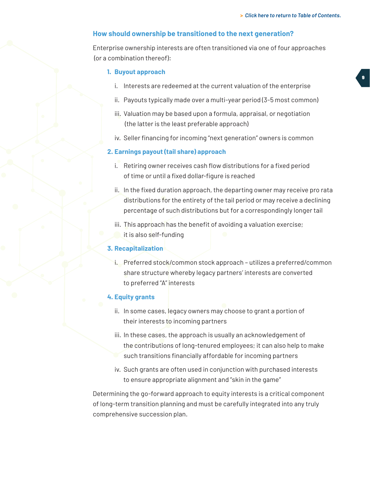#### **How should ownership be transitioned to the next generation?**

Enterprise ownership interests are often transitioned via one of four approaches (or a combination thereof):

#### **1. Buyout approach**

- i. Interests are redeemed at the current valuation of the enterprise
- ii. Payouts typically made over a multi-year period (3-5 most common)
- iii. Valuation may be based upon a formula, appraisal, or negotiation (the latter is the least preferable approach)
- iv. Seller financing for incoming "next generation" owners is common

#### **2. Earnings payout (tail share) approach**

- i. Retiring owner receives cash flow distributions for a fixed period of time or until a fixed dollar-figure is reached
- ii. In the fixed duration approach, the departing owner may receive pro rata distributions for the entirety of the tail period or may receive a declining percentage of such distributions but for a correspondingly longer tail
- iii. This approach has the benefit of avoiding a valuation exercise;  $\blacksquare$  it is also self-funding

#### **3. Recapitalization**

i. Preferred stock/common stock approach – utilizes a preferred/common share structure whereby legacy partners' interests are converted to preferred "A" interests

#### **4. Equity grants**

- ii. In some cases, legacy owners may choose to grant a portion of their interests to incoming partners
- iii. In these cases, the approach is usually an acknowledgement of the contributions of long-tenured employees; it can also help to make such transitions financially affordable for incoming partners
- iv. Such grants are often used in conjunction with purchased interests to ensure appropriate alignment and "skin in the game"

Determining the go-forward approach to equity interests is a critical component of long-term transition planning and must be carefully integrated into any truly comprehensive succession plan.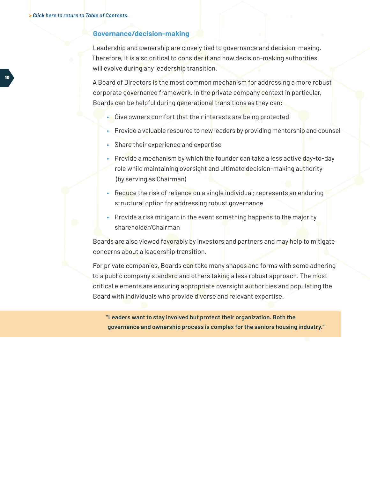#### **Governance/decision-making**

Leadership and ownership are closely tied to governance and decision-making. Therefore, it is also critical to consider if and how decision-making authorities will evolve during any leadership transition.

A Board of Directors is the most common mechanism for addressing a more robust corporate governance framework. In the private company context in particular, Boards can be helpful during generational transitions as they can:

- Give owners comfort that their interests are being protected
- Provide a valuable resource to new leaders by providing mentorship and counsel
- Share their experience and expertise
- Provide a mechanism by which the founder can take a less active day-to-day role while maintaining oversight and ultimate decision-making authority (by serving as Chairman)
- Reduce the risk of reliance on a single individual; represents an enduring structural option for addressing robust governance
- Provide a risk mitigant in the event something happens to the majority shareholder/Chairman

Boards are also viewed favorably by investors and partners and may help to mitigate concerns about a leadership transition.

For private companies, Boards can take many shapes and forms with some adhering to a public company standard and others taking a less robust approach. The most critical elements are ensuring appropriate oversight authorities and populating the Board with individuals who provide diverse and relevant expertise.

**"Leaders want to stay involved but protect their organization. Both the governance and ownership process is complex for the seniors housing industry."**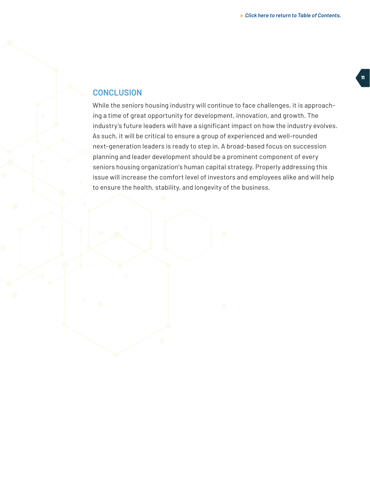#### <span id="page-12-0"></span>**CONCLUSION**

While the seniors housing industry will continue to face challenges, it is approaching a time of great opportunity for development, innovation, and growth. The industry's future leaders will have a significant impact on how the industry evolves. As such, it will be critical to ensure a group of experienced and well-rounded next-generation leaders is ready to step in. A broad-based focus on succession planning and leader development should be a prominent component of every seniors housing organization's human capital strategy. Properly addressing this issue will increase the comfort level of investors and employees alike and will help to ensure the health, stability, and longevity of the business.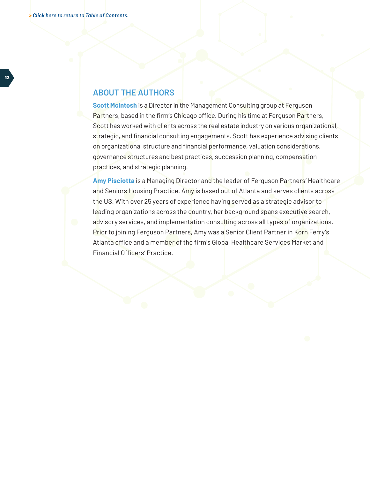#### <span id="page-13-0"></span>**ABOUT THE AUTHORS**

**Scott McIntosh** is a Director in the Management Consulting group at Ferguson Partners, based in the firm's Chicago office. During his time at Ferguson Partners, Scott has worked with clients across the real estate industry on various organizational, strategic, and financial consulting engagements. Scott has experience advising clients on organizational structure and financial performance, valuation considerations, governance structures and best practices, succession planning, compensation practices, and strategic planning.

**Amy Pisciotta** is a Managing Director and the leader of Ferguson Partners' Healthcare and Seniors Housing Practice. Amy is based out of Atlanta and serves clients across the US. With over 25 years of experience having served as a strategic advisor to leading organizations across the country, her background spans executive search, advisory services, and implementation consulting across all types of organizations. Prior to joining Ferguson Partners, Amy was a Senior Client Partner in Korn Ferry's Atlanta office and a member of the firm's Global Healthcare Services Market and Financial Officers' Practice.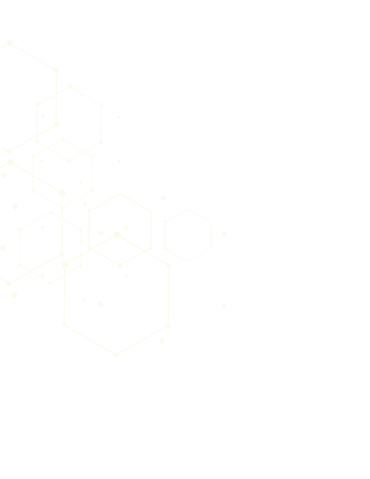